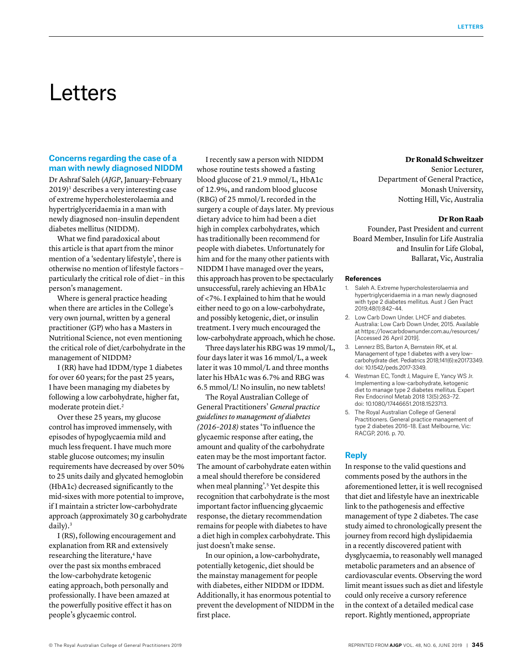# Letters

## **Concerns regarding the case of a man with newly diagnosed NIDDM**

Dr Ashraf Saleh (*AJGP*, January–February  $2019$ <sup>1</sup> describes a very interesting case of extreme hypercholesterolaemia and hypertriglyceridaemia in a man with newly diagnosed non–insulin dependent diabetes mellitus (NIDDM).

What we find paradoxical about this article is that apart from the minor mention of a 'sedentary lifestyle', there is otherwise no mention of lifestyle factors – particularly the critical role of diet – in this person's management.

Where is general practice heading when there are articles in the College's very own journal, written by a general practitioner (GP) who has a Masters in Nutritional Science, not even mentioning the critical role of diet/carbohydrate in the management of NIDDM?

I (RR) have had IDDM/type 1 diabetes for over 60 years; for the past 25 years, I have been managing my diabetes by following a low carbohydrate, higher fat, moderate protein diet.2

Over these 25 years, my glucose control has improved immensely, with episodes of hypoglycaemia mild and much less frequent. I have much more stable glucose outcomes; my insulin requirements have decreased by over 50% to 25 units daily and glycated hemoglobin (HbA1c) decreased significantly to the mid-sixes with more potential to improve, if I maintain a stricter low-carbohydrate approach (approximately 30 g carbohydrate daily).3

I (RS), following encouragement and explanation from RR and extensively researching the literature,<sup>4</sup> have over the past six months embraced the low-carbohydrate ketogenic eating approach, both personally and professionally. I have been amazed at the powerfully positive effect it has on people's glycaemic control.

I recently saw a person with NIDDM whose routine tests showed a fasting blood glucose of 21.9 mmol/L, HbA1c of 12.9%, and random blood glucose (RBG) of 25 mmol/L recorded in the surgery a couple of days later. My previous dietary advice to him had been a diet high in complex carbohydrates, which has traditionally been recommend for people with diabetes. Unfortunately for him and for the many other patients with NIDDM I have managed over the years, this approach has proven to be spectacularly unsuccessful, rarely achieving an HbA1c of <7%. I explained to him that he would either need to go on a low-carbohydrate, and possibly ketogenic, diet, or insulin treatment. I very much encouraged the low-carbohydrate approach, which he chose.

Three days later his RBG was 19 mmol/L, four days later it was 16 mmol/L, a week later it was 10 mmol/L and three months later his HbA1c was 6.7% and RBG was 6.5 mmol/L! No insulin, no new tablets!

The Royal Australian College of General Practitioners' *General practice guidelines to management of diabetes (2016–2018)* states 'To influence the glycaemic response after eating, the amount and quality of the carbohydrate eaten may be the most important factor. The amount of carbohydrate eaten within a meal should therefore be considered when meal planning'.<sup>5</sup> Yet despite this recognition that carbohydrate is the most important factor influencing glycaemic response, the dietary recommendation remains for people with diabetes to have a diet high in complex carbohydrate. This just doesn't make sense.

In our opinion, a low-carbohydrate, potentially ketogenic, diet should be the mainstay management for people with diabetes, either NIDDM or IDDM. Additionally, it has enormous potential to prevent the development of NIDDM in the first place.

## **Dr Ronald Schweitzer**

Senior Lecturer, Department of General Practice, Monash University, Notting Hill, Vic, Australia

## **Dr Ron Raab**

Founder, Past President and current Board Member, Insulin for Life Australia and Insulin for Life Global, Ballarat, Vic, Australia

#### **References**

- 1. Saleh A. Extreme hypercholesterolaemia and hypertriglyceridaemia in a man newly diagnosed with type 2 diabetes mellitus. Aust J Gen Pract 2019;48(1):842–44.
- 2. Low Carb Down Under. LHCF and diabetes. Australia: Low Carb Down Under, 2015. Available at https://lowcarbdownunder.com.au/resources/ [Accessed 26 April 2019].
- 3. Lennerz BS, Barton A, Bernstein RK, et al. Management of type 1 diabetes with a very low– carbohydrate diet. Pediatrics 2018;141(6):e20173349. doi: 10.1542/peds.2017‑3349.
- 4. [Westman EC](https://www.ncbi.nlm.nih.gov/pubmed/?term=Westman%20EC%5BAuthor%5D&cauthor=true&cauthor_uid=30289048), [Tondt J](https://www.ncbi.nlm.nih.gov/pubmed/?term=Tondt%20J%5BAuthor%5D&cauthor=true&cauthor_uid=30289048), [Maguire E,](https://www.ncbi.nlm.nih.gov/pubmed/?term=Maguire%20E%5BAuthor%5D&cauthor=true&cauthor_uid=30289048) [Yancy WS Jr](https://www.ncbi.nlm.nih.gov/pubmed/?term=Yancy%20WS%20Jr%5BAuthor%5D&cauthor=true&cauthor_uid=30289048). Implementing a low-carbohydrate, ketogenic diet to manage type 2 diabetes mellitus. Expert Rev Endocrinol Metab 2018 13(5):263–72. doi: 10.1080/17446651.2018.1523713.
- 5. The Royal Australian College of General Practitioners. General practice management of type 2 diabetes 2016–18. East Melbourne, Vic: RACGP, 2016. p. 70.

#### **Reply**

In response to the valid questions and comments posed by the authors in the aforementioned letter, it is well recognised that diet and lifestyle have an inextricable link to the pathogenesis and effective management of type 2 diabetes. The case study aimed to chronologically present the journey from record high dyslipidaemia in a recently discovered patient with dysglycaemia, to reasonably well managed metabolic parameters and an absence of cardiovascular events. Observing the word limit meant issues such as diet and lifestyle could only receive a cursory reference in the context of a detailed medical case report. Rightly mentioned, appropriate